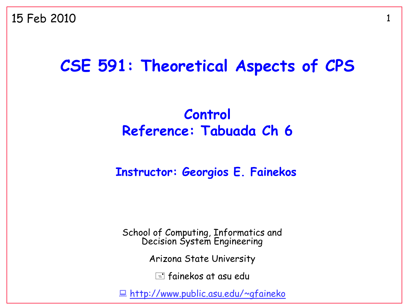### **CSE 591: Theoretical Aspects of CPS**

#### **Control Reference: Tabuada Ch 6**

#### **Instructor: Georgios E. Fainekos**

School of Computing, Informatics and Decision System Engineering

Arizona State University

 $\equiv$  fainekos at asu edu

<http://www.public.asu.edu/~gfaineko>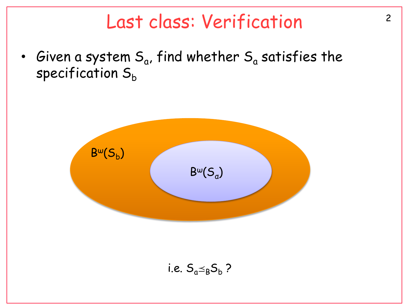### Last class: Verification<sup>2</sup>

• Given a system  $\mathsf{S}_{\mathsf{a}}$ , find whether  $\mathsf{S}_{\mathsf{a}}$  satisfies the specification  $S_h$ 

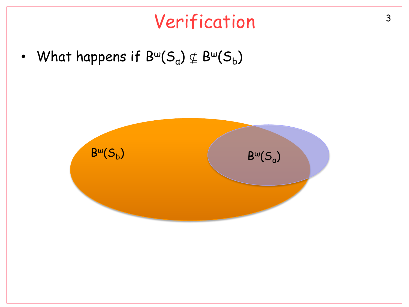# Verification<sup>3</sup>

• What happens if  $\mathsf{B}^{\omega}(\mathsf{S}_{\mathsf{a}}) \nsubseteq \mathsf{B}^{\omega}(\mathsf{S}_{\mathsf{b}})$ 

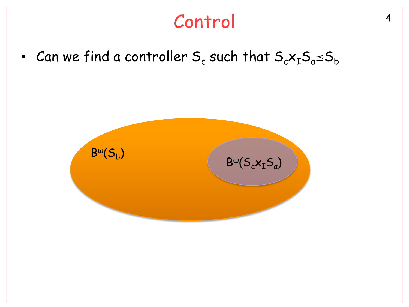# <sup>4</sup> Control

• Can we find a controller  $\mathsf{S}_{\mathsf{c}}$  such that  $\mathsf{S}_{\mathsf{c}}\mathsf{x}_{\mathtt{I}}\mathsf{S}_{\mathsf{a}}\!\!\preceq\!\!\mathsf{S}_{\mathsf{b}}$ 

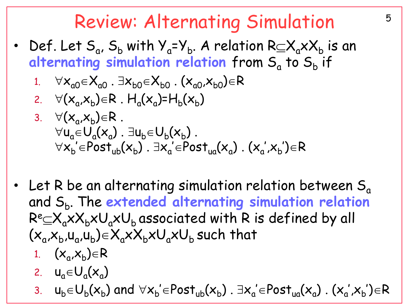### Review: Alternating Simulation 5

- Def. Let  $S_a$ ,  $S_b$  with  $Y_a = Y_b$ . A relation  $R \subseteq X_a \times X_b$  is an alternating simulation relation from S<sub>a</sub> to S<sub>b</sub> if
	- 1.  $\forall x_{a0} \in X_{a0}$ .  $\exists x_{b0} \in X_{b0}$ .  $(x_{a0},x_{b0}) \in R$
	- 2.  $\forall$ ( $x_a$ , $x_b$ ) $\in$ R .  $H_a$ ( $x_a$ )= $H_b$ ( $x_b$ )
	- 3.  $\forall (x_a, x_b) \in R$ .  $\forall$ u<sub>a</sub> $\in$ U<sub>a</sub> $(x_a)$ .  $\exists$ u<sub>b</sub> $\in$ U<sub>b</sub> $(x_b)$ .  $\forall x_{\sf b}^{'} \in {\sf Post}_{\sf ub}(x_{\sf b})$  .  $\exists x_{\sf a}^{'} \in {\sf Post}_{\sf ua}(x_{\sf a})$  .  $(x_{\sf a}^{'}, x_{\sf b}^{'}) \in {\sf R}$ ' '
- Let R be an alternating simulation relation between  $S<sub>a</sub>$ and S<sub>b</sub>. The extended alternating simulation relation  $R^{e} \subseteq X_{a} \times X_{b} \times U_{a} \times U_{b}$  associated with R is defined by all  $(x_a, x_b, u_a, u_b) \in X_a \times X_b \times U_a \times U_b$  such that
	- 1.  $(x_a,x_b) \in R$
	- 2.  $u_a \in U_a(x_a)$
	- 3.  $u_b \in U_b(x_b)$  and  $\forall x_b' \in Post_{ub}(x_b)$  .  $\exists x_a' \in Post_{ua}(x_a)$  .  $(x_a',x_b') \in R$ ' '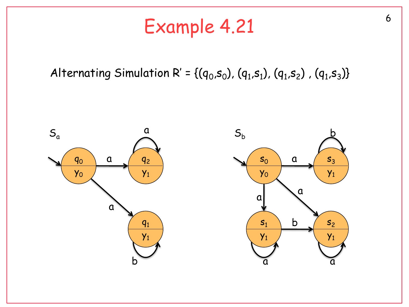# Example 4.21

#### Alternating Simulation R' = {( $q_0$ , $s_0$ ), ( $q_1$ , $s_1$ ), ( $q_1$ , $s_2$ ), ( $q_1$ , $s_3$ )}

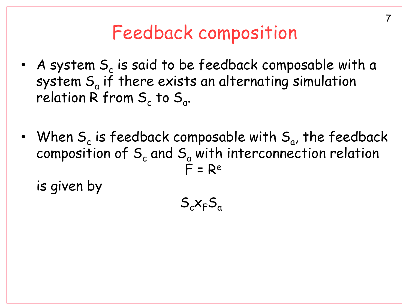# Feedback composition

- A system  $\mathsf{S}_{\mathsf{c}}$  is said to be feedback composable with a system  $\mathsf{S}_{\mathsf{a}}$  if there exists an alternating simulation relation R from  $\mathsf{S}_{\mathsf{c}}$  to  $\mathsf{S}_{\mathsf{a}}$ .
- When  $\mathsf{S}_{\mathsf{c}}$  is feedback composable with  $\mathsf{S}_{\mathsf{a}}$ , the feedback composition of  $S_c$  and  $S_a$  with interconnection relation  $F = Re$

is given by

 $S_cX_FS_a$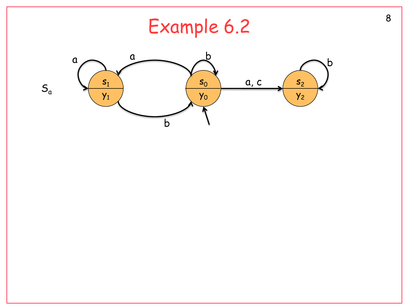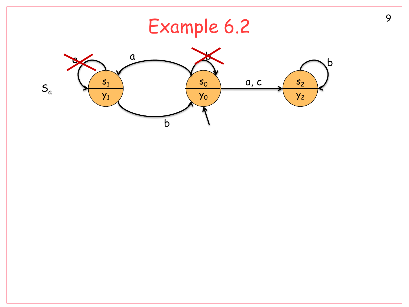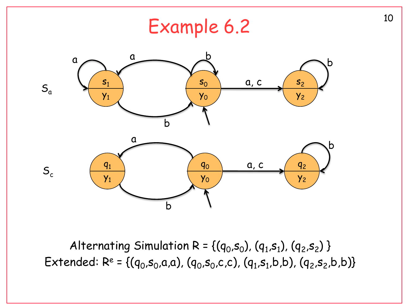

Alternating Simulation R = { $(q_0, s_0)$ ,  $(q_1, s_1)$ ,  $(q_2, s_2)$  } Extended: R<sup>e</sup> = {(q<sub>0</sub>,s<sub>0</sub>,a,a), (q<sub>0</sub>,s<sub>0</sub>,c,c), (q<sub>1</sub>,s<sub>1</sub>,b,b), (q<sub>2</sub>,s<sub>2</sub>,b,b)}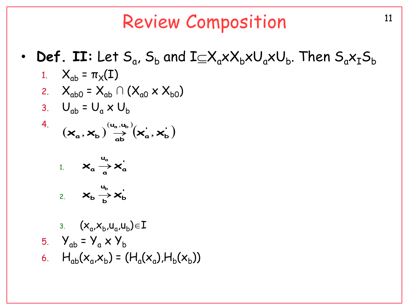## **Review Composition**

- **Def.** II: Let  $S_a$ ,  $S_b$  and  $I\subseteq X_a \times X_b \times U_a \times U_b$ . Then  $S_a X_I S_b$  $\bullet$ 
	- 1.  $X_{ab} = \pi_X(I)$ 2.  $X_{ab0} = X_{ab} \cap (X_{a0} \times X_{b0})$
	- 3.  $U_{ab} = U_a \times U_b$
	- 4.  $(\mathbf{x}_a, \mathbf{x}_b) \stackrel{(u_a, u_b)}{\rightarrow} (\mathbf{x}_a, \mathbf{x}_b)$

1. 
$$
\mathbf{X}_{a} \xrightarrow{u_{a}} \mathbf{X}_{a}
$$
  
2.  $\mathbf{X}_{b} \xrightarrow{u_{b}} \mathbf{X}_{b}$ 

3. 
$$
(x_a, x_b, u_a, u_b) \in I
$$
  
\n5.  $Y_{ab} = Y_a \times Y_b$   
\n6.  $H_{ab}(x_a, x_b) = (H_a(x_a), H_b(x_b))$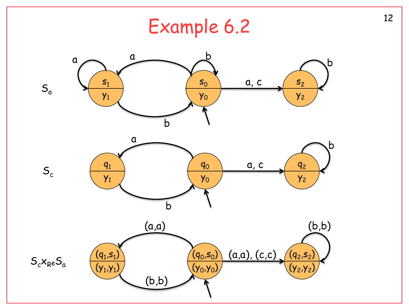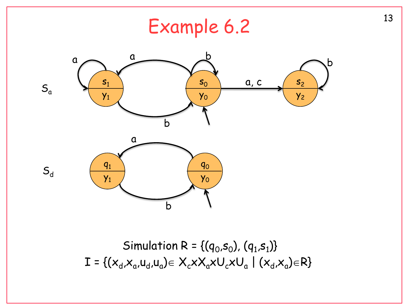

Simulation R = { $(q_0, s_0)$ ,  $(q_1, s_1)$ }  $I = \{ (x_d, x_a, u_d, u_a) \in X_c \times X_a \times U_c \times U_a \mid (x_d, x_a) \in R \}$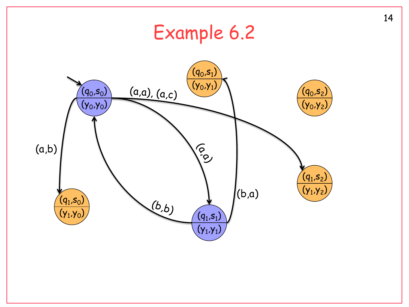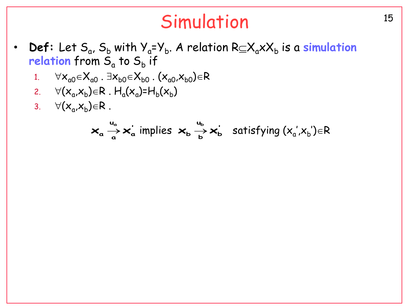# Simulation 15

- **Def**: Let  $S_a$ ,  $S_b$  with  $Y_a = Y_b$ . A relation  $R \subseteq X_a \times X_b$  is a **simulation** relation from S<sub>a</sub> to S<sub>b</sub> if
	- 1.  $\forall x_{a0} \in X_{a0}$ .  $\exists x_{b0} \in X_{b0}$ .  $(x_{a0},x_{b0}) \in R$
	- 2.  $\forall (x_a, x_b) \in R$  .  $H_a(x_a)$ = $H_b(x_b)$
	- 3.  $\forall (x_a, x_b) \in R$ .

$$
\mathbf{x}_{a} \stackrel{u_{a}}{\rightarrow} \mathbf{x}_{a}^{'} \text{ implies } \mathbf{x}_{b} \stackrel{u_{b}}{\rightarrow} \mathbf{x}_{b}^{'} \text{ satisfying } (x_{a}^{'} , x_{b}^{'} ) \in R
$$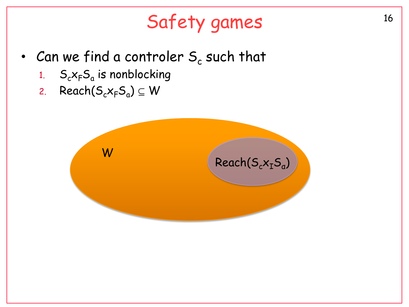# Safety games 16

- Can we find a controler  $\mathsf{S}_{\mathsf{c}}$  such that
	- 1. S ${}_{c}\mathsf{x}_{\mathsf{F}}\mathsf{S}_{\mathsf{a}}$  is nonblocking
	- 2. Reach $(S_c x_F S_a) \subseteq W$

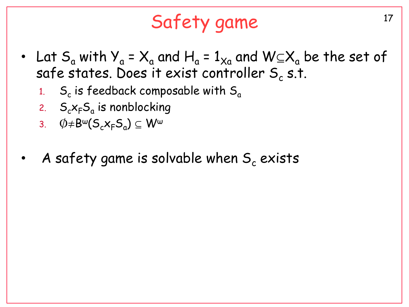# Safety game

- Lat  $S_a$  with  $Y_a = X_a$  and  $H_a = 1_{X_a}$  and  $W \subseteq X_a$  be the set of safe states. Does it exist controller  $\mathsf{S}_{\mathsf{c}}$  s.t.
	- 1. S<sup>c</sup> is feedback composable with S<sup>a</sup>
	- 2.  $S_c x_F S_a$  is nonblocking
	- 3.  $\phi \neq B^{\omega}(S_{c}x_{F}S_{a}) \subseteq W^{\omega}$
- A safety game is solvable when  $S_c$  exists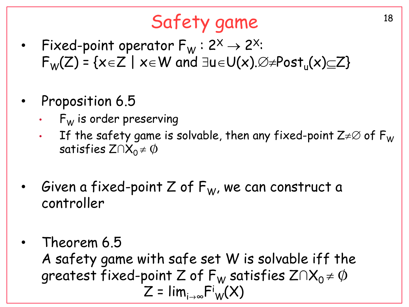# Safety game 18

- Fixed-point operator  $F_W$ :  $2^x \rightarrow 2^x$ :  $F_W(Z)$  = {x $\in$ Z | x $\in$ W and  $\exists$ u $\in$ U(x). $\varnothing \neq$ Post<sub>u</sub>(x) $\subseteq$ Z}
- Proposition 6.5
	- $F_W$  is order preserving
	- If the safety game is solvable, then any fixed-point  $Z \neq \varnothing$  of  $F_W$ satisfies  $Z \cap X_0 \neq \emptyset$
- Given a fixed-point Z of  $F_W$ , we can construct a controller
- Theorem 6.5 A safety game with safe set W is solvable iff the greatest fixed-point Z of  $F_W$  satisfies  $Z \cap X_0 \neq \emptyset$  $Z = \lim_{i \to \infty} \mathsf{F^i}_\mathsf{W}(\mathsf{X})$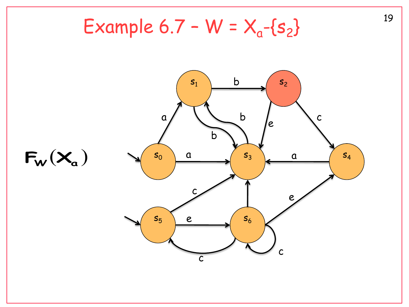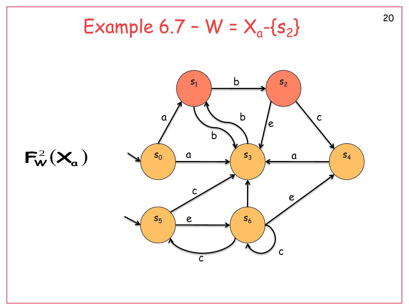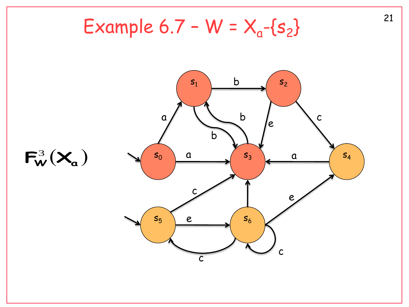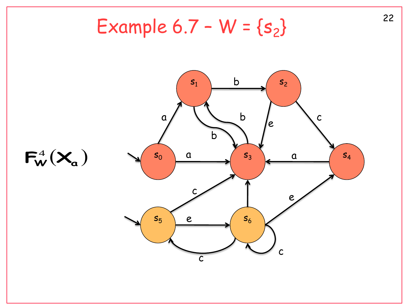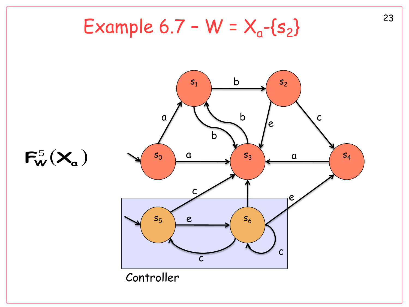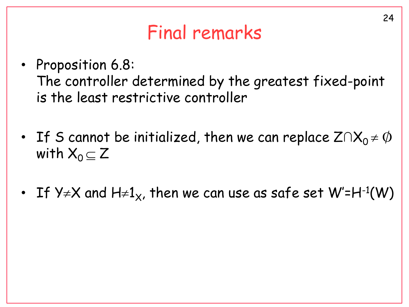# Final remarks

- Proposition 6.8: The controller determined by the greatest fixed-point is the least restrictive controller
- If S cannot be initialized, then we can replace  $Z \cap X_0 \neq \emptyset$ with  $X_0 \subseteq Z$
- If Y≠X and H≠1 $_\mathrm{\mathsf{x}}$ , then we can use as safe set W'=H-1(W)